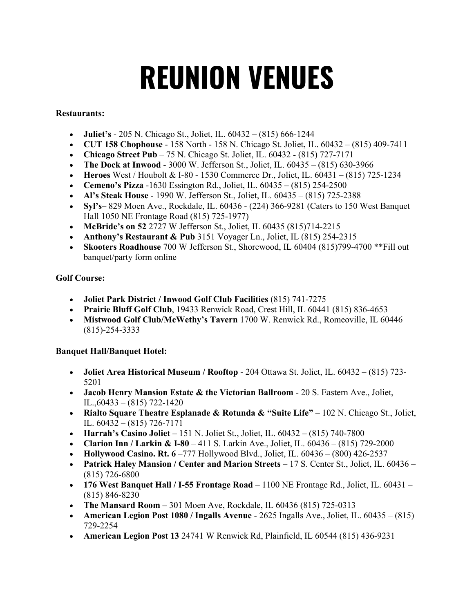# **REUNION VENUES**

#### **Restaurants:**

- **Juliet's** 205 N. Chicago St., Joliet, IL. 60432 (815) 666-1244
- **CUT 158 Chophouse** 158 North 158 N. Chicago St. Joliet, IL. 60432 (815) 409-7411
- **Chicago Street Pub** 75 N. Chicago St. Joliet, IL. 60432 (815) 727-7171
- **The Dock at Inwood** 3000 W. Jefferson St., Joliet, IL. 60435 (815) 630-3966
- **Heroes** West / Houbolt & I-80 1530 Commerce Dr., Joliet, IL. 60431 (815) 725-1234
- **Cemeno's Pizza** -1630 Essington Rd., Joliet, IL. 60435 (815) 254-2500
- **Al's Steak House** 1990 W. Jefferson St., Joliet, IL. 60435 (815) 725-2388
- **Syl's** 829 Moen Ave., Rockdale, IL. 60436 (224) 366-9281 (Caters to 150 West Banquet Hall 1050 NE Frontage Road (815) 725-1977)
- **McBride's on 52** 2727 W Jefferson St., Joliet, IL 60435 (815)714-2215
- **Anthony's Restaurant & Pub** 3151 Voyager Ln., Joliet, IL (815) 254-2315
- **Skooters Roadhouse** 700 W Jefferson St., Shorewood, IL 60404 (815)799-4700 \*\*Fill out banquet/party form online

### **Golf Course:**

- **Joliet Park District / Inwood Golf Club Facilities** (815) 741-7275
- **Prairie Bluff Golf Club**, 19433 Renwick Road, Crest Hill, IL 60441 (815) 836-4653
- **Mistwood Golf Club/McWethy's Tavern** 1700 W. Renwick Rd., Romeoville, IL 60446 (815)-254-3333

### **Banquet Hall/Banquet Hotel:**

- **Joliet Area Historical Museum / Rooftop** 204 Ottawa St. Joliet, IL. 60432 (815) 723- 5201
- **Jacob Henry Mansion Estate & the Victorian Ballroom** 20 S. Eastern Ave., Joliet,  $IL., 60433 - (815) 722-1420$
- **Rialto Square Theatre Esplanade & Rotunda & "Suite Life"** 102 N. Chicago St., Joliet, IL. 60432 – (815) 726-7171
- **Harrah's Casino Joliet** 151 N. Joliet St., Joliet, IL. 60432 (815) 740-7800
- **Clarion Inn / Larkin & I-80** 411 S. Larkin Ave., Joliet, IL. 60436 (815) 729-2000
- **Hollywood Casino. Rt. 6** –777 Hollywood Blvd., Joliet, IL. 60436 (800) 426-2537
- **Patrick Haley Mansion / Center and Marion Streets** 17 S. Center St., Joliet, IL. 60436 (815) 726-6800
- **176 West Banquet Hall / I-55 Frontage Road** 1100 NE Frontage Rd., Joliet, IL. 60431 (815) 846-8230
- **The Mansard Room** 301 Moen Ave, Rockdale, IL 60436 (815) 725-0313
- **American Legion Post 1080 / Ingalls Avenue** 2625 Ingalls Ave., Joliet, IL. 60435 (815) 729-2254
- **American Legion Post 13** 24741 W Renwick Rd, Plainfield, IL 60544 (815) 436-9231